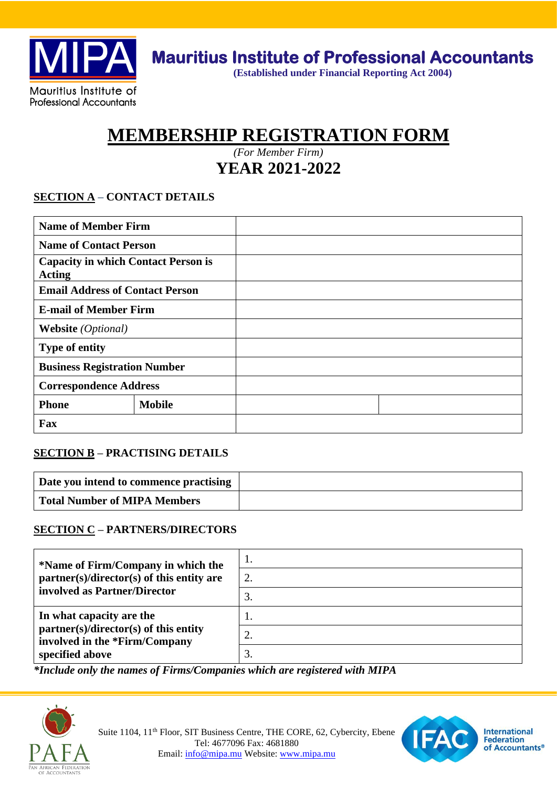

**(Established under Financial Reporting Act 2004)**

# **MEMBERSHIP REGISTRATION FORM**

*(For Member Firm)* **YEAR 2021-2022**

### **SECTION A – CONTACT DETAILS**

| <b>Name of Member Firm</b>                                  |               |  |
|-------------------------------------------------------------|---------------|--|
| <b>Name of Contact Person</b>                               |               |  |
| <b>Capacity in which Contact Person is</b><br><b>Acting</b> |               |  |
| <b>Email Address of Contact Person</b>                      |               |  |
| <b>E-mail of Member Firm</b>                                |               |  |
| <b>Website</b> ( <i>Optional</i> )                          |               |  |
| <b>Type of entity</b>                                       |               |  |
| <b>Business Registration Number</b>                         |               |  |
| <b>Correspondence Address</b>                               |               |  |
| <b>Phone</b>                                                | <b>Mobile</b> |  |
| Fax                                                         |               |  |

#### **SECTION B – PRACTISING DETAILS**

| Date you intend to commence practising |  |
|----------------------------------------|--|
| <b>Total Number of MIPA Members</b>    |  |

#### **SECTION C – PARTNERS/DIRECTORS**

| *Name of Firm/Company in which the                                                                                    | 1.       |
|-----------------------------------------------------------------------------------------------------------------------|----------|
| partner(s)/director(s) of this entity are                                                                             | 2.       |
| involved as Partner/Director                                                                                          | 3.       |
| In what capacity are the<br>partner(s)/director(s) of this entity<br>involved in the *Firm/Company<br>specified above | 2.<br>3. |

*\*Include only the names of Firms/Companies which are registered with MIPA* 



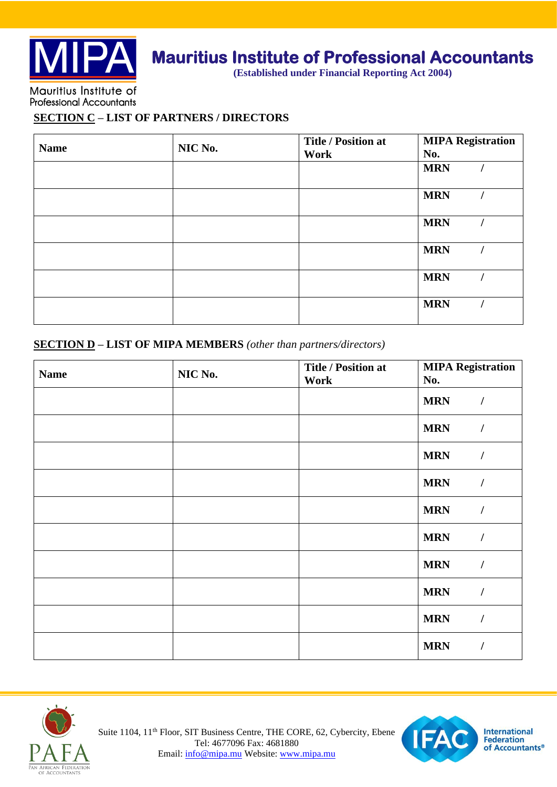

### **Mauritius Institute of Professional Accountants**

**(Established under Financial Reporting Act 2004)**

**Professional Accountants** 

**SECTION C – LIST OF PARTNERS / DIRECTORS**

| <b>Name</b> | NIC No. | <b>Title / Position at</b><br>Work | <b>MIPA Registration</b><br>No. |
|-------------|---------|------------------------------------|---------------------------------|
|             |         |                                    | <b>MRN</b>                      |
|             |         |                                    | <b>MRN</b>                      |
|             |         |                                    | <b>MRN</b>                      |
|             |         |                                    | <b>MRN</b>                      |
|             |         |                                    | <b>MRN</b>                      |
|             |         |                                    | <b>MRN</b>                      |

#### **SECTION D – LIST OF MIPA MEMBERS** *(other than partners/directors)*

| <b>Name</b> | NIC No. | <b>Title / Position at</b> | <b>MIPA Registration</b>     |  |
|-------------|---------|----------------------------|------------------------------|--|
|             |         | No.<br>Work                |                              |  |
|             |         |                            | <b>MRN</b><br>$\prime$       |  |
|             |         |                            | <b>MRN</b><br>$\prime$       |  |
|             |         |                            | <b>MRN</b><br>$\prime$       |  |
|             |         |                            | <b>MRN</b><br>$\overline{I}$ |  |
|             |         |                            | <b>MRN</b><br>$\prime$       |  |
|             |         |                            | <b>MRN</b><br>$\prime$       |  |
|             |         |                            | <b>MRN</b><br>$\prime$       |  |
|             |         |                            | <b>MRN</b><br>$\prime$       |  |
|             |         |                            | <b>MRN</b><br>$\overline{I}$ |  |
|             |         |                            | <b>MRN</b><br>$\prime$       |  |





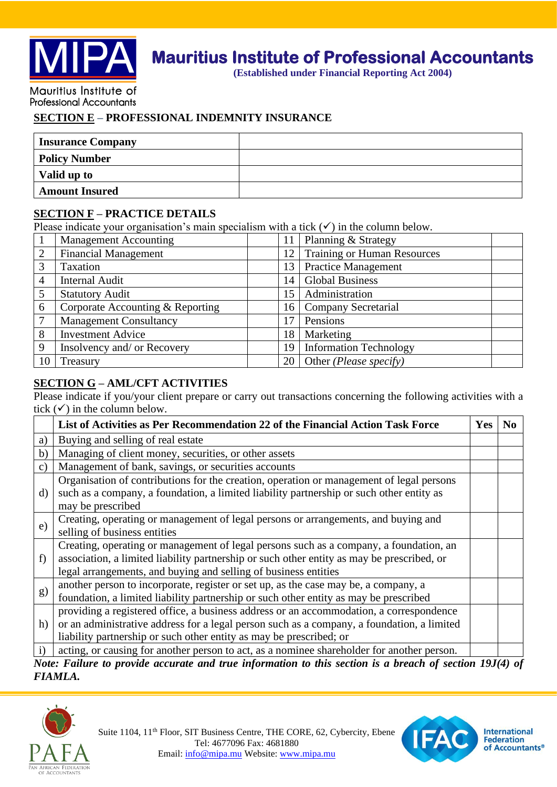

## **Mauritius Institute of Professional Accountants**

**(Established under Financial Reporting Act 2004)**

Mauritius Institute of **Professional Accountants** 

#### **SECTION E – PROFESSIONAL INDEMNITY INSURANCE**

| <b>Insurance Company</b> |  |
|--------------------------|--|
| <b>Policy Number</b>     |  |
| Valid up to              |  |
| <b>Amount Insured</b>    |  |

#### **SECTION F – PRACTICE DETAILS**

Please indicate your organisation's main specialism with a tick  $(\checkmark)$  in the column below.

|                | <b>Management Accounting</b>     | 11 | Planning & Strategy                |
|----------------|----------------------------------|----|------------------------------------|
| $\overline{2}$ | <b>Financial Management</b>      | 12 | <b>Training or Human Resources</b> |
|                | Taxation                         | 13 | <b>Practice Management</b>         |
| 4              | <b>Internal Audit</b>            | 14 | <b>Global Business</b>             |
| 5              | <b>Statutory Audit</b>           | 15 | Administration                     |
| 6              | Corporate Accounting & Reporting | 16 | <b>Company Secretarial</b>         |
|                | <b>Management Consultancy</b>    | 17 | Pensions                           |
| 8              | <b>Investment Advice</b>         | 18 | Marketing                          |
| 9              | Insolvency and/ or Recovery      | 19 | <b>Information Technology</b>      |
| 10             | Treasury                         | 20 | Other ( <i>Please specify</i> )    |

#### **SECTION G – AML/CFT ACTIVITIES**

Please indicate if you/your client prepare or carry out transactions concerning the following activities with a tick  $(\checkmark)$  in the column below.

|              | List of Activities as Per Recommendation 22 of the Financial Action Task Force                          | Yes | N <sub>0</sub> |
|--------------|---------------------------------------------------------------------------------------------------------|-----|----------------|
| a)           | Buying and selling of real estate                                                                       |     |                |
| b)           | Managing of client money, securities, or other assets                                                   |     |                |
| C)           | Management of bank, savings, or securities accounts                                                     |     |                |
|              | Organisation of contributions for the creation, operation or management of legal persons                |     |                |
| d)           | such as a company, a foundation, a limited liability partnership or such other entity as                |     |                |
|              | may be prescribed                                                                                       |     |                |
| e)           | Creating, operating or management of legal persons or arrangements, and buying and                      |     |                |
|              | selling of business entities                                                                            |     |                |
|              | Creating, operating or management of legal persons such as a company, a foundation, an                  |     |                |
| f)           | association, a limited liability partnership or such other entity as may be prescribed, or              |     |                |
|              | legal arrangements, and buying and selling of business entities                                         |     |                |
|              | another person to incorporate, register or set up, as the case may be, a company, a                     |     |                |
| g)           | foundation, a limited liability partnership or such other entity as may be prescribed                   |     |                |
|              | providing a registered office, a business address or an accommodation, a correspondence                 |     |                |
| h)           | or an administrative address for a legal person such as a company, a foundation, a limited              |     |                |
|              | liability partnership or such other entity as may be prescribed; or                                     |     |                |
| $\mathbf{i}$ | acting, or causing for another person to act, as a nominee shareholder for another person.              |     |                |
|              | Note: Failure to provide accurate and true information to this section is a breach of section 19J(4) of |     |                |

*FIAMLA.*



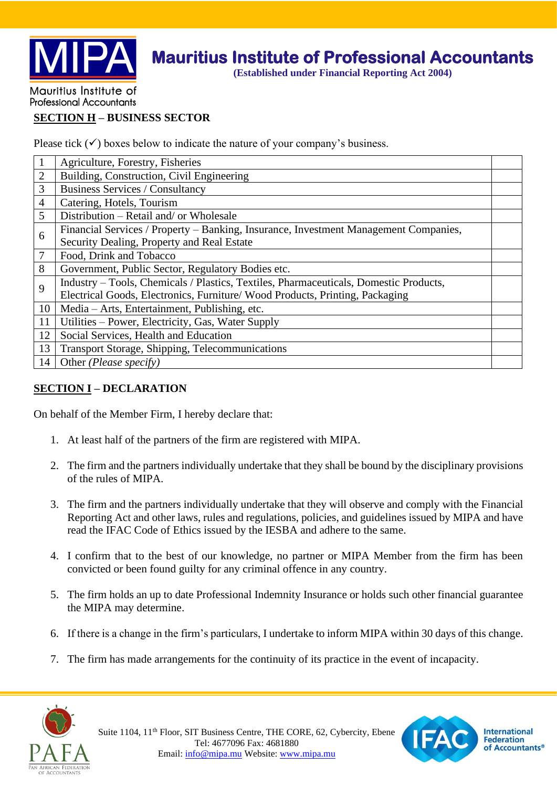

### **Mauritius Institute of Professional Accountants**

**(Established under Financial Reporting Act 2004)**

#### Mauritius Institute of **Professional Accountants**

#### **SECTION H – BUSINESS SECTOR**

Please tick  $(\checkmark)$  boxes below to indicate the nature of your company's business.

| $\mathbf{1}$   | Agriculture, Forestry, Fisheries                                                      |  |
|----------------|---------------------------------------------------------------------------------------|--|
| $\overline{2}$ | Building, Construction, Civil Engineering                                             |  |
| 3              | <b>Business Services / Consultancy</b>                                                |  |
| $\overline{4}$ | Catering, Hotels, Tourism                                                             |  |
| 5              | Distribution – Retail and/ or Wholesale                                               |  |
| 6              | Financial Services / Property – Banking, Insurance, Investment Management Companies,  |  |
|                | Security Dealing, Property and Real Estate                                            |  |
| 7              | Food, Drink and Tobacco                                                               |  |
| 8              | Government, Public Sector, Regulatory Bodies etc.                                     |  |
| 9              | Industry - Tools, Chemicals / Plastics, Textiles, Pharmaceuticals, Domestic Products, |  |
|                | Electrical Goods, Electronics, Furniture/Wood Products, Printing, Packaging           |  |
| 10             | Media – Arts, Entertainment, Publishing, etc.                                         |  |
| 11             | Utilities – Power, Electricity, Gas, Water Supply                                     |  |
| 12             | Social Services, Health and Education                                                 |  |
| 13             | <b>Transport Storage, Shipping, Telecommunications</b>                                |  |
| 14             | Other ( <i>Please specify</i> )                                                       |  |

#### **SECTION I – DECLARATION**

On behalf of the Member Firm, I hereby declare that:

- 1. At least half of the partners of the firm are registered with MIPA.
- 2. The firm and the partners individually undertake that they shall be bound by the disciplinary provisions of the rules of MIPA.
- 3. The firm and the partners individually undertake that they will observe and comply with the Financial Reporting Act and other laws, rules and regulations, policies, and guidelines issued by MIPA and have read the IFAC Code of Ethics issued by the IESBA and adhere to the same.
- 4. I confirm that to the best of our knowledge, no partner or MIPA Member from the firm has been convicted or been found guilty for any criminal offence in any country.
- 5. The firm holds an up to date Professional Indemnity Insurance or holds such other financial guarantee the MIPA may determine.
- 6. If there is a change in the firm's particulars, I undertake to inform MIPA within 30 days of this change.
- 7. The firm has made arrangements for the continuity of its practice in the event of incapacity.







**International Federation** of Accountants®